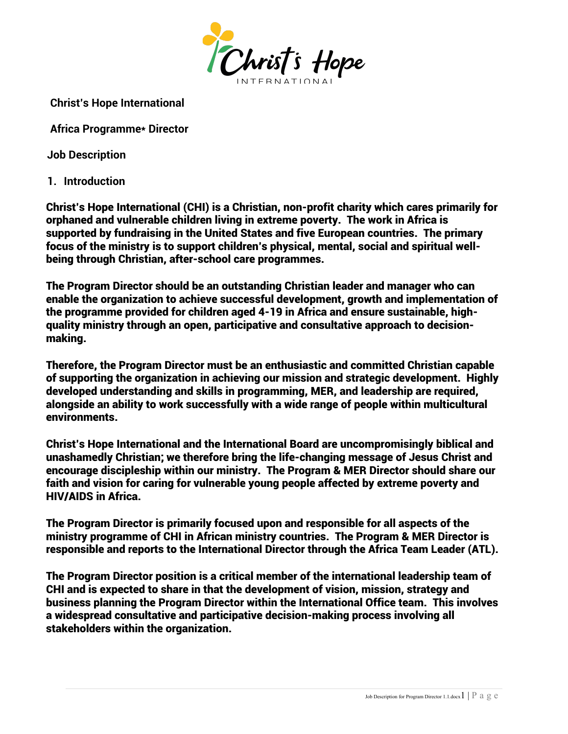

**Christ's Hope International**

**Africa Programme\* Director**

**Job Description**

**1. Introduction**

Christ's Hope International (CHI) is a Christian, non-profit charity which cares primarily for orphaned and vulnerable children living in extreme poverty. The work in Africa is supported by fundraising in the United States and five European countries. The primary focus of the ministry is to support children's physical, mental, social and spiritual wellbeing through Christian, after-school care programmes.

The Program Director should be an outstanding Christian leader and manager who can enable the organization to achieve successful development, growth and implementation of the programme provided for children aged 4-19 in Africa and ensure sustainable, highquality ministry through an open, participative and consultative approach to decisionmaking.

Therefore, the Program Director must be an enthusiastic and committed Christian capable of supporting the organization in achieving our mission and strategic development. Highly developed understanding and skills in programming, MER, and leadership are required, alongside an ability to work successfully with a wide range of people within multicultural environments.

Christ's Hope International and the International Board are uncompromisingly biblical and unashamedly Christian; we therefore bring the life-changing message of Jesus Christ and encourage discipleship within our ministry. The Program & MER Director should share our faith and vision for caring for vulnerable young people affected by extreme poverty and HIV/AIDS in Africa.

The Program Director is primarily focused upon and responsible for all aspects of the ministry programme of CHI in African ministry countries. The Program & MER Director is responsible and reports to the International Director through the Africa Team Leader (ATL).

The Program Director position is a critical member of the international leadership team of CHI and is expected to share in that the development of vision, mission, strategy and business planning the Program Director within the International Office team. This involves a widespread consultative and participative decision-making process involving all stakeholders within the organization.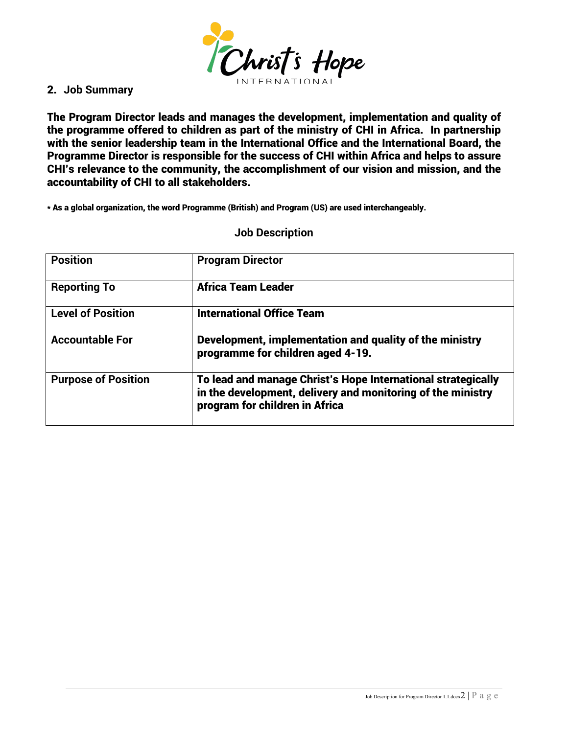

## 2. **Job Summary**

The Program Director leads and manages the development, implementation and quality of the programme offered to children as part of the ministry of CHI in Africa. In partnership with the senior leadership team in the International Office and the International Board, the Programme Director is responsible for the success of CHI within Africa and helps to assure CHI's relevance to the community, the accomplishment of our vision and mission, and the accountability of CHI to all stakeholders.

\* As a global organization, the word Programme (British) and Program (US) are used interchangeably.

## **Job Description**

| <b>Position</b>            | <b>Program Director</b>                                                                                                                                       |
|----------------------------|---------------------------------------------------------------------------------------------------------------------------------------------------------------|
| <b>Reporting To</b>        | <b>Africa Team Leader</b>                                                                                                                                     |
| <b>Level of Position</b>   | <b>International Office Team</b>                                                                                                                              |
| <b>Accountable For</b>     | Development, implementation and quality of the ministry<br>programme for children aged 4-19.                                                                  |
| <b>Purpose of Position</b> | To lead and manage Christ's Hope International strategically<br>in the development, delivery and monitoring of the ministry<br>program for children in Africa |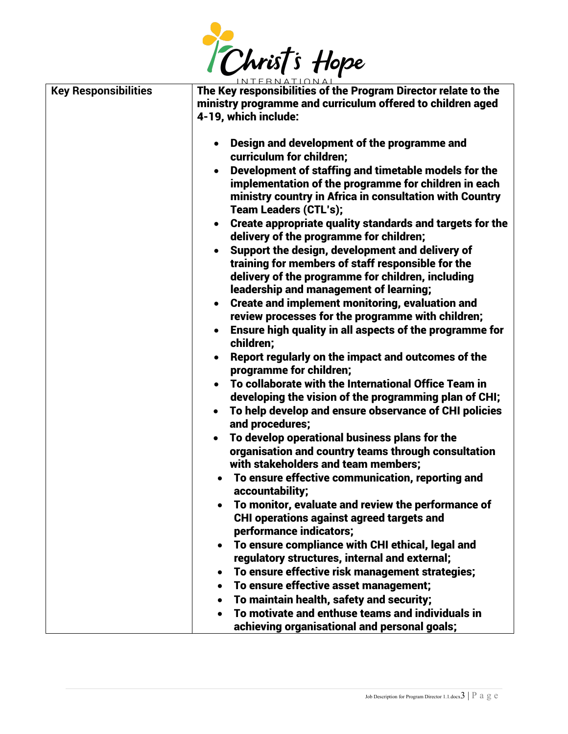

|                             | <u>INTERNATIONAL</u>                                                                                                                                                                                    |
|-----------------------------|---------------------------------------------------------------------------------------------------------------------------------------------------------------------------------------------------------|
| <b>Key Responsibilities</b> | The Key responsibilities of the Program Director relate to the<br>ministry programme and curriculum offered to children aged<br>4-19, which include:                                                    |
|                             | Design and development of the programme and<br>curriculum for children;                                                                                                                                 |
|                             | Development of staffing and timetable models for the<br>implementation of the programme for children in each<br>ministry country in Africa in consultation with Country<br><b>Team Leaders (CTL's);</b> |
|                             | Create appropriate quality standards and targets for the<br>delivery of the programme for children;                                                                                                     |
|                             | Support the design, development and delivery of<br>training for members of staff responsible for the<br>delivery of the programme for children, including<br>leadership and management of learning;     |
|                             | <b>Create and implement monitoring, evaluation and</b><br>review processes for the programme with children;                                                                                             |
|                             | Ensure high quality in all aspects of the programme for<br>children;                                                                                                                                    |
|                             | Report regularly on the impact and outcomes of the<br>programme for children;                                                                                                                           |
|                             | To collaborate with the International Office Team in<br>developing the vision of the programming plan of CHI;                                                                                           |
|                             | To help develop and ensure observance of CHI policies<br>and procedures;                                                                                                                                |
|                             | To develop operational business plans for the<br>organisation and country teams through consultation<br>with stakeholders and team members;                                                             |
|                             | To ensure effective communication, reporting and<br>accountability:                                                                                                                                     |
|                             | To monitor, evaluate and review the performance of<br><b>CHI operations against agreed targets and</b><br>performance indicators;                                                                       |
|                             | To ensure compliance with CHI ethical, legal and<br>regulatory structures, internal and external;                                                                                                       |
|                             | To ensure effective risk management strategies;                                                                                                                                                         |
|                             | To ensure effective asset management;                                                                                                                                                                   |
|                             | To maintain health, safety and security;                                                                                                                                                                |
|                             | To motivate and enthuse teams and individuals in                                                                                                                                                        |
|                             | achieving organisational and personal goals;                                                                                                                                                            |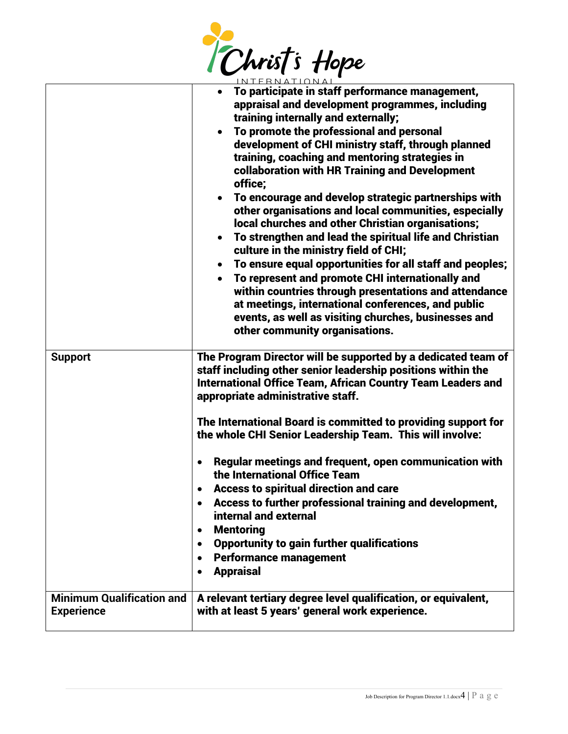

|                                                       | INTERNATIONAI                                                                                                                                                                                                                                                                                                                                                                                                                                                                                                                                                                                                                                                                                                                                                                                                                                                                                                                                                                                                                  |
|-------------------------------------------------------|--------------------------------------------------------------------------------------------------------------------------------------------------------------------------------------------------------------------------------------------------------------------------------------------------------------------------------------------------------------------------------------------------------------------------------------------------------------------------------------------------------------------------------------------------------------------------------------------------------------------------------------------------------------------------------------------------------------------------------------------------------------------------------------------------------------------------------------------------------------------------------------------------------------------------------------------------------------------------------------------------------------------------------|
|                                                       | To participate in staff performance management,<br>$\bullet$<br>appraisal and development programmes, including<br>training internally and externally;<br>To promote the professional and personal<br>$\bullet$<br>development of CHI ministry staff, through planned<br>training, coaching and mentoring strategies in<br>collaboration with HR Training and Development<br>office;<br>To encourage and develop strategic partnerships with<br>$\bullet$<br>other organisations and local communities, especially<br>local churches and other Christian organisations;<br>To strengthen and lead the spiritual life and Christian<br>$\bullet$<br>culture in the ministry field of CHI;<br>To ensure equal opportunities for all staff and peoples;<br>$\bullet$<br>To represent and promote CHI internationally and<br>within countries through presentations and attendance<br>at meetings, international conferences, and public<br>events, as well as visiting churches, businesses and<br>other community organisations. |
| <b>Support</b>                                        | The Program Director will be supported by a dedicated team of<br>staff including other senior leadership positions within the<br><b>International Office Team, African Country Team Leaders and</b><br>appropriate administrative staff.                                                                                                                                                                                                                                                                                                                                                                                                                                                                                                                                                                                                                                                                                                                                                                                       |
|                                                       | The International Board is committed to providing support for<br>the whole CHI Senior Leadership Team. This will involve:                                                                                                                                                                                                                                                                                                                                                                                                                                                                                                                                                                                                                                                                                                                                                                                                                                                                                                      |
|                                                       | Regular meetings and frequent, open communication with<br>the International Office Team                                                                                                                                                                                                                                                                                                                                                                                                                                                                                                                                                                                                                                                                                                                                                                                                                                                                                                                                        |
|                                                       | <b>Access to spiritual direction and care</b>                                                                                                                                                                                                                                                                                                                                                                                                                                                                                                                                                                                                                                                                                                                                                                                                                                                                                                                                                                                  |
|                                                       | Access to further professional training and development,<br>internal and external                                                                                                                                                                                                                                                                                                                                                                                                                                                                                                                                                                                                                                                                                                                                                                                                                                                                                                                                              |
|                                                       | <b>Mentoring</b><br>٠                                                                                                                                                                                                                                                                                                                                                                                                                                                                                                                                                                                                                                                                                                                                                                                                                                                                                                                                                                                                          |
|                                                       | <b>Opportunity to gain further qualifications</b><br>٠                                                                                                                                                                                                                                                                                                                                                                                                                                                                                                                                                                                                                                                                                                                                                                                                                                                                                                                                                                         |
|                                                       | <b>Performance management</b><br><b>Appraisal</b><br>$\bullet$                                                                                                                                                                                                                                                                                                                                                                                                                                                                                                                                                                                                                                                                                                                                                                                                                                                                                                                                                                 |
|                                                       |                                                                                                                                                                                                                                                                                                                                                                                                                                                                                                                                                                                                                                                                                                                                                                                                                                                                                                                                                                                                                                |
| <b>Minimum Qualification and</b><br><b>Experience</b> | A relevant tertiary degree level qualification, or equivalent,<br>with at least 5 years' general work experience.                                                                                                                                                                                                                                                                                                                                                                                                                                                                                                                                                                                                                                                                                                                                                                                                                                                                                                              |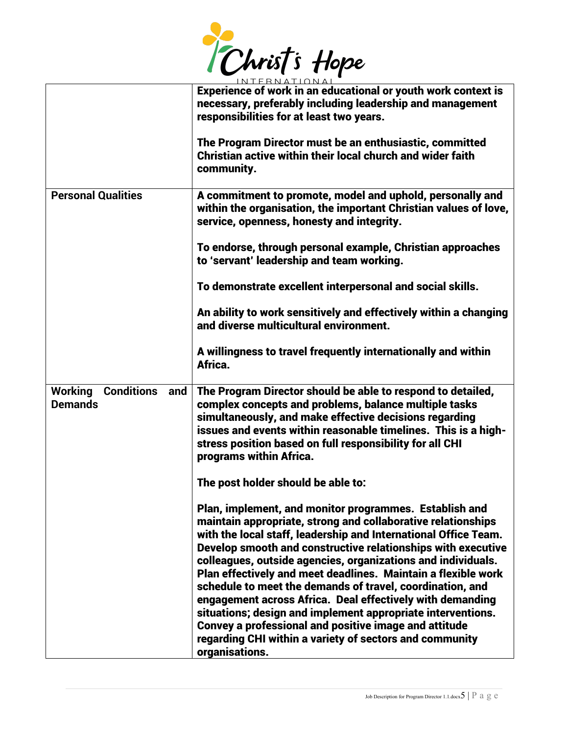

|                                                       | Experience of work in an educational or youth work context is<br>necessary, preferably including leadership and management<br>responsibilities for at least two years.                                                                                                                                                                                                                                                                                                                                                                                                                                                                                                                                                           |  |
|-------------------------------------------------------|----------------------------------------------------------------------------------------------------------------------------------------------------------------------------------------------------------------------------------------------------------------------------------------------------------------------------------------------------------------------------------------------------------------------------------------------------------------------------------------------------------------------------------------------------------------------------------------------------------------------------------------------------------------------------------------------------------------------------------|--|
|                                                       | The Program Director must be an enthusiastic, committed<br>Christian active within their local church and wider faith<br>community.                                                                                                                                                                                                                                                                                                                                                                                                                                                                                                                                                                                              |  |
| <b>Personal Qualities</b>                             | A commitment to promote, model and uphold, personally and<br>within the organisation, the important Christian values of love,<br>service, openness, honesty and integrity.                                                                                                                                                                                                                                                                                                                                                                                                                                                                                                                                                       |  |
|                                                       | To endorse, through personal example, Christian approaches<br>to 'servant' leadership and team working.                                                                                                                                                                                                                                                                                                                                                                                                                                                                                                                                                                                                                          |  |
|                                                       | To demonstrate excellent interpersonal and social skills.                                                                                                                                                                                                                                                                                                                                                                                                                                                                                                                                                                                                                                                                        |  |
|                                                       | An ability to work sensitively and effectively within a changing<br>and diverse multicultural environment.                                                                                                                                                                                                                                                                                                                                                                                                                                                                                                                                                                                                                       |  |
|                                                       | A willingness to travel frequently internationally and within<br>Africa.                                                                                                                                                                                                                                                                                                                                                                                                                                                                                                                                                                                                                                                         |  |
| <b>Conditions</b><br>Working<br>and<br><b>Demands</b> | The Program Director should be able to respond to detailed,<br>complex concepts and problems, balance multiple tasks<br>simultaneously, and make effective decisions regarding<br>issues and events within reasonable timelines. This is a high-<br>stress position based on full responsibility for all CHI<br>programs within Africa.                                                                                                                                                                                                                                                                                                                                                                                          |  |
|                                                       | The post holder should be able to:                                                                                                                                                                                                                                                                                                                                                                                                                                                                                                                                                                                                                                                                                               |  |
|                                                       | Plan, implement, and monitor programmes. Establish and<br>maintain appropriate, strong and collaborative relationships<br>with the local staff, leadership and International Office Team.<br>Develop smooth and constructive relationships with executive<br>colleagues, outside agencies, organizations and individuals.<br>Plan effectively and meet deadlines. Maintain a flexible work<br>schedule to meet the demands of travel, coordination, and<br>engagement across Africa. Deal effectively with demanding<br>situations; design and implement appropriate interventions.<br><b>Convey a professional and positive image and attitude</b><br>regarding CHI within a variety of sectors and community<br>organisations. |  |